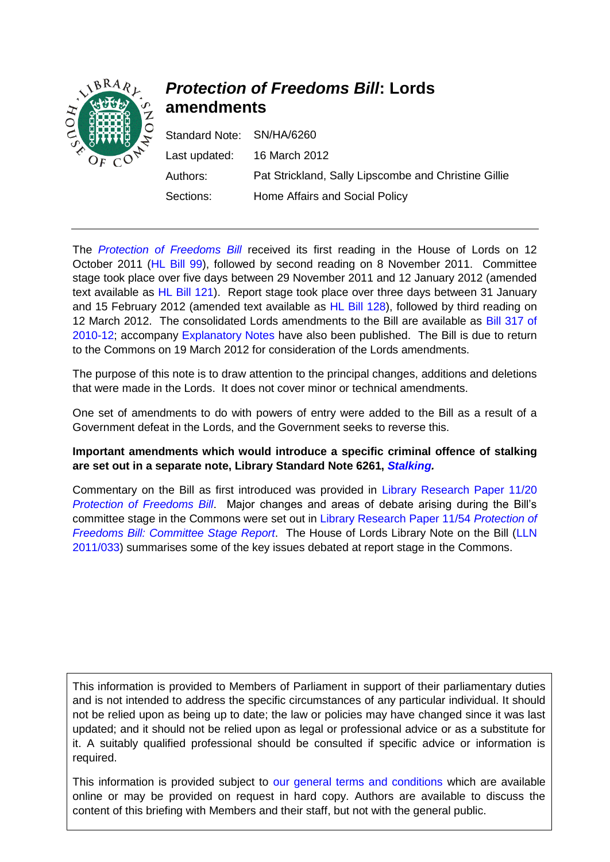

# *Protection of Freedoms Bill***: Lords amendments**

| Standard Note: SN/HA/6260 |                                                      |
|---------------------------|------------------------------------------------------|
| Last updated:             | 16 March 2012                                        |
| Authors:                  | Pat Strickland, Sally Lipscombe and Christine Gillie |
| Sections:                 | Home Affairs and Social Policy                       |

The *[Protection of Freedoms Bill](http://services.parliament.uk/bills/2010-12/protectionoffreedoms.html)* received its first reading in the House of Lords on 12 October 2011 [\(HL Bill 99\)](http://www.publications.parliament.uk/pa/bills/lbill/2010-2012/0099/lbill_2010-20120099_en_1.htm), followed by second reading on 8 November 2011. Committee stage took place over five days between 29 November 2011 and 12 January 2012 (amended text available as [HL Bill 121\)](http://services.parliament.uk/bills/2010-12/protectionoffreedoms/documents.html). Report stage took place over three days between 31 January and 15 February 2012 (amended text available as [HL Bill 128\)](http://www.publications.parliament.uk/pa/bills/lbill/2010-2012/0128/lbill_2010-20120128_en_1.htm), followed by third reading on 12 March 2012. The consolidated Lords amendments to the Bill are available as [Bill 317 of](http://www.publications.parliament.uk/pa/bills/cbill/2010-2012/0317/2012317.pdf)  [2010-12;](http://www.publications.parliament.uk/pa/bills/cbill/2010-2012/0317/2012317.pdf) accompany [Explanatory Notes](http://www.publications.parliament.uk/pa/bills/cbill/2010-2012/0317/en/2012317en.htm) have also been published. The Bill is due to return to the Commons on 19 March 2012 for consideration of the Lords amendments.

The purpose of this note is to draw attention to the principal changes, additions and deletions that were made in the Lords. It does not cover minor or technical amendments.

One set of amendments to do with powers of entry were added to the Bill as a result of a Government defeat in the Lords, and the Government seeks to reverse this.

#### **Important amendments which would introduce a specific criminal offence of stalking are set out in a separate note, Library Standard Note 6261,** *[Stalking.](http://www.parliament.uk/briefing-papers/SN06261)*

Commentary on the Bill as first introduced was provided in [Library Research Paper 11/20](http://www.parliament.uk/briefing-papers/RP11-20)  *Protection of [Freedoms Bill](http://www.parliament.uk/briefing-papers/RP11-20)*. Major changes and areas of debate arising during the Bill's committee stage in the Commons were set out in [Library Research Paper 11/54](http://www.parliament.uk/briefing-papers/RP11-54) *Protection of [Freedoms Bill: Committee Stage Report](http://www.parliament.uk/briefing-papers/RP11-54)*. The House of Lords Library Note on the Bill [\(LLN](http://www.parliament.uk/briefing-papers/LLN-2011-033)  [2011/033\)](http://www.parliament.uk/briefing-papers/LLN-2011-033) summarises some of the key issues debated at report stage in the Commons.

This information is provided to Members of Parliament in support of their parliamentary duties and is not intended to address the specific circumstances of any particular individual. It should not be relied upon as being up to date; the law or policies may have changed since it was last updated; and it should not be relied upon as legal or professional advice or as a substitute for it. A suitably qualified professional should be consulted if specific advice or information is required.

This information is provided subject to [our general terms and conditions](http://www.parliament.uk/site_information/parliamentary_copyright.cfm) which are available online or may be provided on request in hard copy. Authors are available to discuss the content of this briefing with Members and their staff, but not with the general public.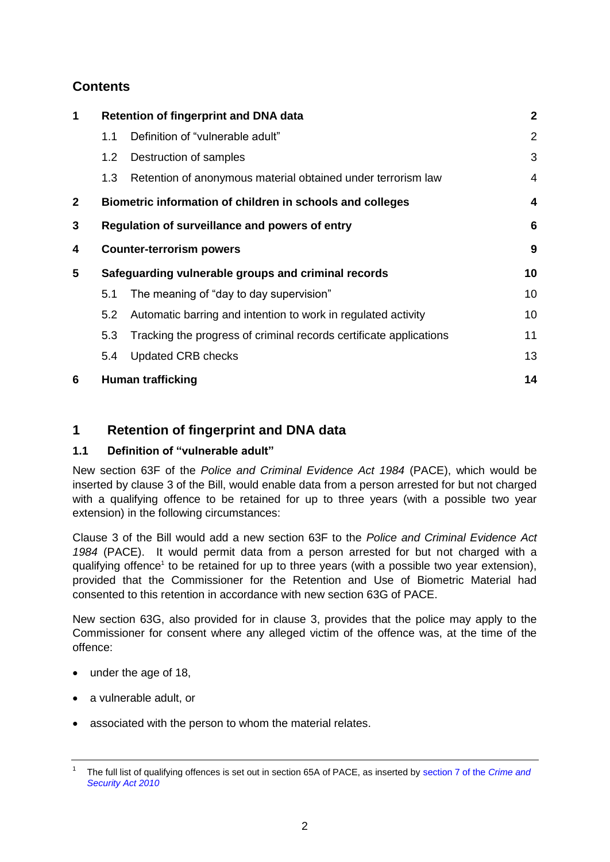# **Contents**

| 1            | <b>Retention of fingerprint and DNA data</b>        |                                                                    |                |
|--------------|-----------------------------------------------------|--------------------------------------------------------------------|----------------|
|              | 1.1                                                 | Definition of "vulnerable adult"                                   | 2              |
|              | 1.2                                                 | Destruction of samples                                             | 3              |
|              | 1.3                                                 | Retention of anonymous material obtained under terrorism law       | $\overline{4}$ |
| $\mathbf{2}$ |                                                     | Biometric information of children in schools and colleges          | 4              |
| 3            | Regulation of surveillance and powers of entry<br>6 |                                                                    |                |
| 4            | <b>Counter-terrorism powers</b>                     |                                                                    | 9              |
| 5            | Safeguarding vulnerable groups and criminal records |                                                                    | 10             |
|              | 5.1                                                 | The meaning of "day to day supervision"                            | 10             |
|              | 5.2                                                 | Automatic barring and intention to work in regulated activity      | 10             |
|              | 5.3                                                 | Tracking the progress of criminal records certificate applications | 11             |
|              | 5.4                                                 | <b>Updated CRB checks</b>                                          | 13             |
| 6            |                                                     | <b>Human trafficking</b>                                           | 14             |

## <span id="page-1-0"></span>**1 Retention of fingerprint and DNA data**

## <span id="page-1-1"></span>**1.1 Definition of "vulnerable adult"**

New section 63F of the *Police and Criminal Evidence Act 1984* (PACE), which would be inserted by clause 3 of the Bill, would enable data from a person arrested for but not charged with a qualifying offence to be retained for up to three years (with a possible two year extension) in the following circumstances:

Clause 3 of the Bill would add a new section 63F to the *Police and Criminal Evidence Act 1984* (PACE). It would permit data from a person arrested for but not charged with a qualifying offence<sup>1</sup> to be retained for up to three years (with a possible two year extension), provided that the Commissioner for the Retention and Use of Biometric Material had consented to this retention in accordance with new section 63G of PACE.

New section 63G, also provided for in clause 3, provides that the police may apply to the Commissioner for consent where any alleged victim of the offence was, at the time of the offence:

- under the age of 18,
- a vulnerable adult, or
- associated with the person to whom the material relates.

<sup>1</sup> The full list of qualifying offences is set out in section 65A of PACE, as inserted by [section 7 of the](http://www.legislation.gov.uk/ukpga/2010/17/section/7) *Crime and [Security Act 2010](http://www.legislation.gov.uk/ukpga/2010/17/section/7)*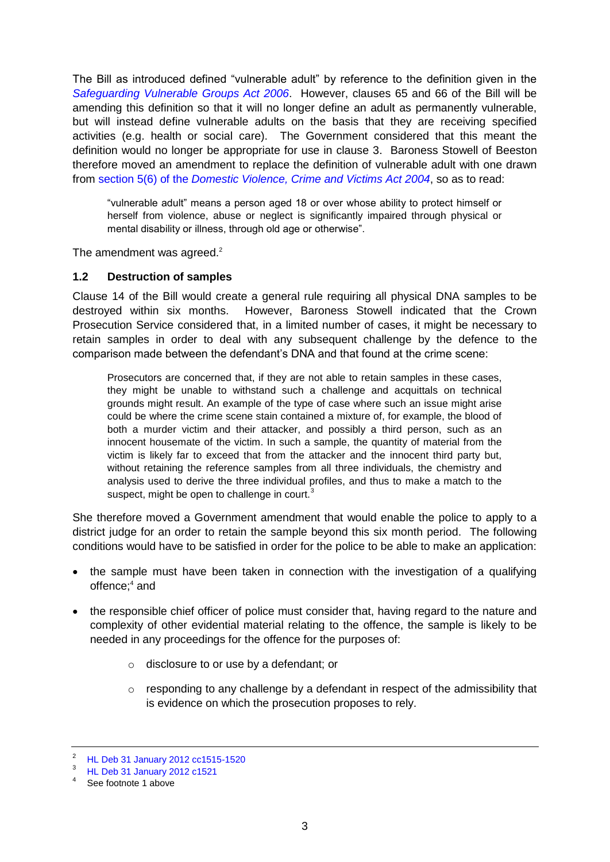The Bill as introduced defined "vulnerable adult" by reference to the definition given in the *[Safeguarding Vulnerable Groups Act 2006](http://www.legislation.gov.uk/ukpga/2006/47/section/59)*. However, clauses 65 and 66 of the Bill will be amending this definition so that it will no longer define an adult as permanently vulnerable, but will instead define vulnerable adults on the basis that they are receiving specified activities (e.g. health or social care). The Government considered that this meant the definition would no longer be appropriate for use in clause 3. Baroness Stowell of Beeston therefore moved an amendment to replace the definition of vulnerable adult with one drawn from section 5(6) of the *[Domestic Violence, Crime and Victims Act 2004](http://www.legislation.gov.uk/ukpga/2004/28/section/5)*, so as to read:

"vulnerable adult" means a person aged 18 or over whose ability to protect himself or herself from violence, abuse or neglect is significantly impaired through physical or mental disability or illness, through old age or otherwise".

The amendment was agreed. $2$ 

#### <span id="page-2-0"></span>**1.2 Destruction of samples**

Clause 14 of the Bill would create a general rule requiring all physical DNA samples to be destroyed within six months. However, Baroness Stowell indicated that the Crown Prosecution Service considered that, in a limited number of cases, it might be necessary to retain samples in order to deal with any subsequent challenge by the defence to the comparison made between the defendant's DNA and that found at the crime scene:

Prosecutors are concerned that, if they are not able to retain samples in these cases, they might be unable to withstand such a challenge and acquittals on technical grounds might result. An example of the type of case where such an issue might arise could be where the crime scene stain contained a mixture of, for example, the blood of both a murder victim and their attacker, and possibly a third person, such as an innocent housemate of the victim. In such a sample, the quantity of material from the victim is likely far to exceed that from the attacker and the innocent third party but, without retaining the reference samples from all three individuals, the chemistry and analysis used to derive the three individual profiles, and thus to make a match to the suspect, might be open to challenge in court.<sup>3</sup>

She therefore moved a Government amendment that would enable the police to apply to a district judge for an order to retain the sample beyond this six month period. The following conditions would have to be satisfied in order for the police to be able to make an application:

- the sample must have been taken in connection with the investigation of a qualifying offence;<sup>4</sup> and
- the responsible chief officer of police must consider that, having regard to the nature and complexity of other evidential material relating to the offence, the sample is likely to be needed in any proceedings for the offence for the purposes of:
	- o disclosure to or use by a defendant; or
	- o responding to any challenge by a defendant in respect of the admissibility that is evidence on which the prosecution proposes to rely.

<sup>2</sup> [HL Deb 31 January 2012 cc1515-1520](http://www.publications.parliament.uk/pa/ld201212/ldhansrd/text/120131-0002.htm#120131144000202)

 $^{3}$  HL Deb [31 January 2012 c1521](http://www.publications.parliament.uk/pa/ld201212/ldhansrd/text/120131-0002.htm#120131144000194)

See footnote 1 above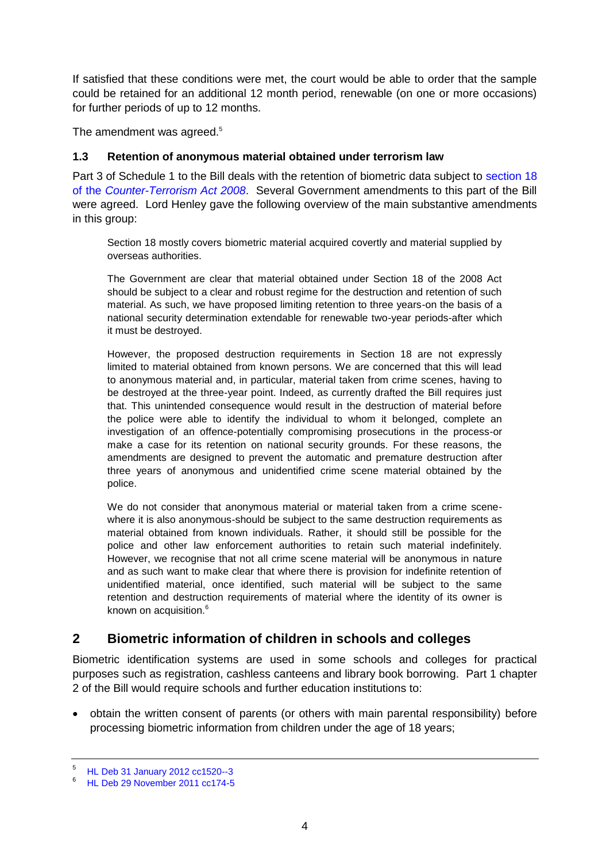If satisfied that these conditions were met, the court would be able to order that the sample could be retained for an additional 12 month period, renewable (on one or more occasions) for further periods of up to 12 months.

The amendment was agreed.<sup>5</sup>

#### <span id="page-3-0"></span>**1.3 Retention of anonymous material obtained under terrorism law**

Part 3 of Schedule 1 to the Bill deals with the retention of biometric data subject to [section 18](http://www.legislation.gov.uk/ukpga/2008/28/section/18)  of the *[Counter-Terrorism Act 2008](http://www.legislation.gov.uk/ukpga/2008/28/section/18)*. Several Government amendments to this part of the Bill were agreed. Lord Henley gave the following overview of the main substantive amendments in this group:

Section 18 mostly covers biometric material acquired covertly and material supplied by overseas authorities.

The Government are clear that material obtained under Section 18 of the 2008 Act should be subject to a clear and robust regime for the destruction and retention of such material. As such, we have proposed limiting retention to three years-on the basis of a national security determination extendable for renewable two-year periods-after which it must be destroyed.

However, the proposed destruction requirements in Section 18 are not expressly limited to material obtained from known persons. We are concerned that this will lead to anonymous material and, in particular, material taken from crime scenes, having to be destroyed at the three-year point. Indeed, as currently drafted the Bill requires just that. This unintended consequence would result in the destruction of material before the police were able to identify the individual to whom it belonged, complete an investigation of an offence-potentially compromising prosecutions in the process-or make a case for its retention on national security grounds. For these reasons, the amendments are designed to prevent the automatic and premature destruction after three years of anonymous and unidentified crime scene material obtained by the police.

We do not consider that anonymous material or material taken from a crime scenewhere it is also anonymous-should be subject to the same destruction requirements as material obtained from known individuals. Rather, it should still be possible for the police and other law enforcement authorities to retain such material indefinitely. However, we recognise that not all crime scene material will be anonymous in nature and as such want to make clear that where there is provision for indefinite retention of unidentified material, once identified, such material will be subject to the same retention and destruction requirements of material where the identity of its owner is known on acquisition.<sup>6</sup>

## <span id="page-3-1"></span>**2 Biometric information of children in schools and colleges**

Biometric identification systems are used in some schools and colleges for practical purposes such as registration, cashless canteens and library book borrowing. Part 1 chapter 2 of the Bill would require schools and further education institutions to:

 obtain the written consent of parents (or others with main parental responsibility) before processing biometric information from children under the age of 18 years;

 $5$  [HL Deb 31 January 2012 cc1520--3](http://www.publications.parliament.uk/pa/ld201212/ldhansrd/text/120131-0002.htm#120131144000209)

<sup>6</sup> [HL Deb 29 November 2011 cc174-5](http://www.publications.parliament.uk/pa/ld201011/ldhansrd/text/111129-0002.htm#11112953000262)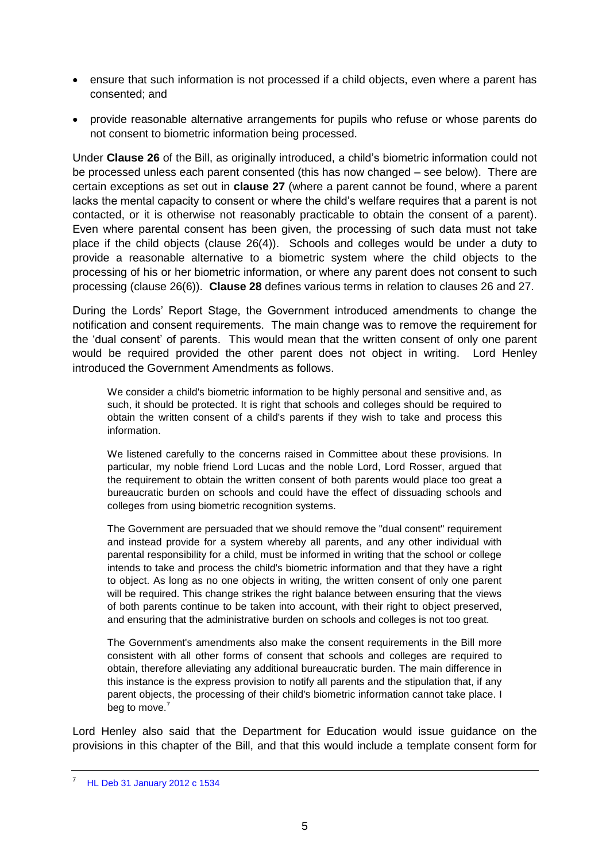- ensure that such information is not processed if a child objects, even where a parent has consented; and
- provide reasonable alternative arrangements for pupils who refuse or whose parents do not consent to biometric information being processed.

Under **Clause 26** of the Bill, as originally introduced, a child's biometric information could not be processed unless each parent consented (this has now changed – see below). There are certain exceptions as set out in **clause 27** (where a parent cannot be found, where a parent lacks the mental capacity to consent or where the child's welfare requires that a parent is not contacted, or it is otherwise not reasonably practicable to obtain the consent of a parent). Even where parental consent has been given, the processing of such data must not take place if the child objects (clause 26(4)). Schools and colleges would be under a duty to provide a reasonable alternative to a biometric system where the child objects to the processing of his or her biometric information, or where any parent does not consent to such processing (clause 26(6)). **Clause 28** defines various terms in relation to clauses 26 and 27.

During the Lords' Report Stage, the Government introduced amendments to change the notification and consent requirements. The main change was to remove the requirement for the 'dual consent' of parents. This would mean that the written consent of only one parent would be required provided the other parent does not object in writing. Lord Henley introduced the Government Amendments as follows.

We consider a child's biometric information to be highly personal and sensitive and, as such, it should be protected. It is right that schools and colleges should be required to obtain the written consent of a child's parents if they wish to take and process this information.

We listened carefully to the concerns raised in Committee about these provisions. In particular, my noble friend Lord Lucas and the noble Lord, Lord Rosser, argued that the requirement to obtain the written consent of both parents would place too great a bureaucratic burden on schools and could have the effect of dissuading schools and colleges from using biometric recognition systems.

The Government are persuaded that we should remove the "dual consent" requirement and instead provide for a system whereby all parents, and any other individual with parental responsibility for a child, must be informed in writing that the school or college intends to take and process the child's biometric information and that they have a right to object. As long as no one objects in writing, the written consent of only one parent will be required. This change strikes the right balance between ensuring that the views of both parents continue to be taken into account, with their right to object preserved, and ensuring that the administrative burden on schools and colleges is not too great.

The Government's amendments also make the consent requirements in the Bill more consistent with all other forms of consent that schools and colleges are required to obtain, therefore alleviating any additional bureaucratic burden. The main difference in this instance is the express provision to notify all parents and the stipulation that, if any parent objects, the processing of their child's biometric information cannot take place. I beg to move.<sup>7</sup>

Lord Henley also said that the Department for Education would issue guidance on the provisions in this chapter of the Bill, and that this would include a template consent form for

<sup>7</sup> [HL Deb 31 January 2012 c 1534](http://www.publications.parliament.uk/pa/ld201212/ldhansrd/text/120131-0003.htm)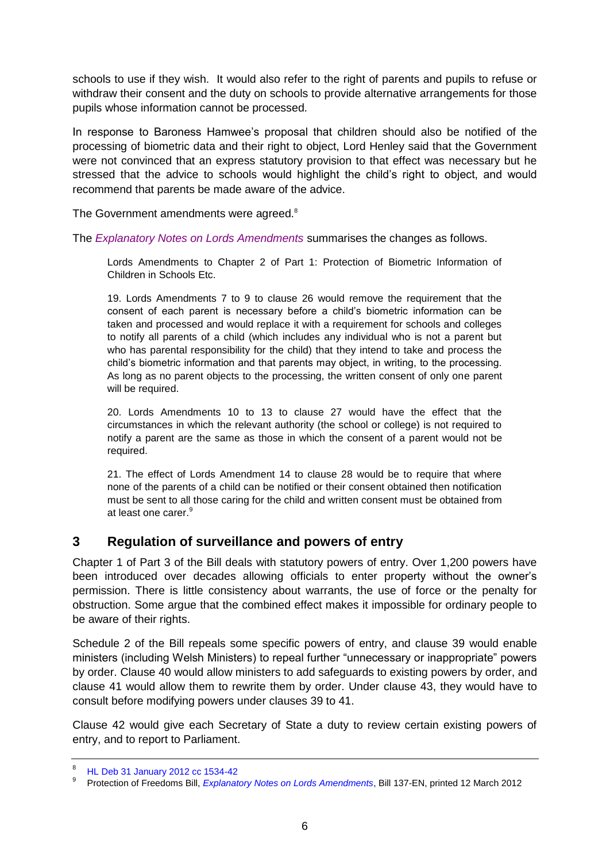schools to use if they wish. It would also refer to the right of parents and pupils to refuse or withdraw their consent and the duty on schools to provide alternative arrangements for those pupils whose information cannot be processed.

In response to Baroness Hamwee's proposal that children should also be notified of the processing of biometric data and their right to object, Lord Henley said that the Government were not convinced that an express statutory provision to that effect was necessary but he stressed that the advice to schools would highlight the child's right to object, and would recommend that parents be made aware of the advice.

The Government amendments were agreed. $8$ 

The *[Explanatory Notes on Lords Amendments](http://www.publications.parliament.uk/pa/bills/cbill/2010-2012/0317/en/2012317en.htm)* summarises the changes as follows.

Lords Amendments to Chapter 2 of Part 1: Protection of Biometric Information of Children in Schools Etc.

19. Lords Amendments 7 to 9 to clause 26 would remove the requirement that the consent of each parent is necessary before a child's biometric information can be taken and processed and would replace it with a requirement for schools and colleges to notify all parents of a child (which includes any individual who is not a parent but who has parental responsibility for the child) that they intend to take and process the child's biometric information and that parents may object, in writing, to the processing. As long as no parent objects to the processing, the written consent of only one parent will be required.

20. Lords Amendments 10 to 13 to clause 27 would have the effect that the circumstances in which the relevant authority (the school or college) is not required to notify a parent are the same as those in which the consent of a parent would not be required.

21. The effect of Lords Amendment 14 to clause 28 would be to require that where none of the parents of a child can be notified or their consent obtained then notification must be sent to all those caring for the child and written consent must be obtained from at least one carer.<sup>9</sup>

## <span id="page-5-0"></span>**3 Regulation of surveillance and powers of entry**

Chapter 1 of Part 3 of the Bill deals with statutory powers of entry. Over 1,200 powers have been introduced over decades allowing officials to enter property without the owner's permission. There is little consistency about warrants, the use of force or the penalty for obstruction. Some argue that the combined effect makes it impossible for ordinary people to be aware of their rights.

Schedule 2 of the Bill repeals some specific powers of entry, and clause 39 would enable ministers (including Welsh Ministers) to repeal further "unnecessary or inappropriate" powers by order. Clause 40 would allow ministers to add safeguards to existing powers by order, and clause 41 would allow them to rewrite them by order. Under clause 43, they would have to consult before modifying powers under clauses 39 to 41.

Clause 42 would give each Secretary of State a duty to review certain existing powers of entry, and to report to Parliament.

<sup>8</sup> [HL Deb 31 January 2012 cc 1534-42](http://www.publications.parliament.uk/pa/ld201212/ldhansrd/text/120131-0002.htm#120131138000237)

<sup>9</sup> Protection of Freedoms Bill, *Explanatory [Notes on Lords Amendments](http://www.publications.parliament.uk/pa/bills/cbill/2010-2012/0317/en/2012317en.htm)*, Bill 137-EN, printed 12 March 2012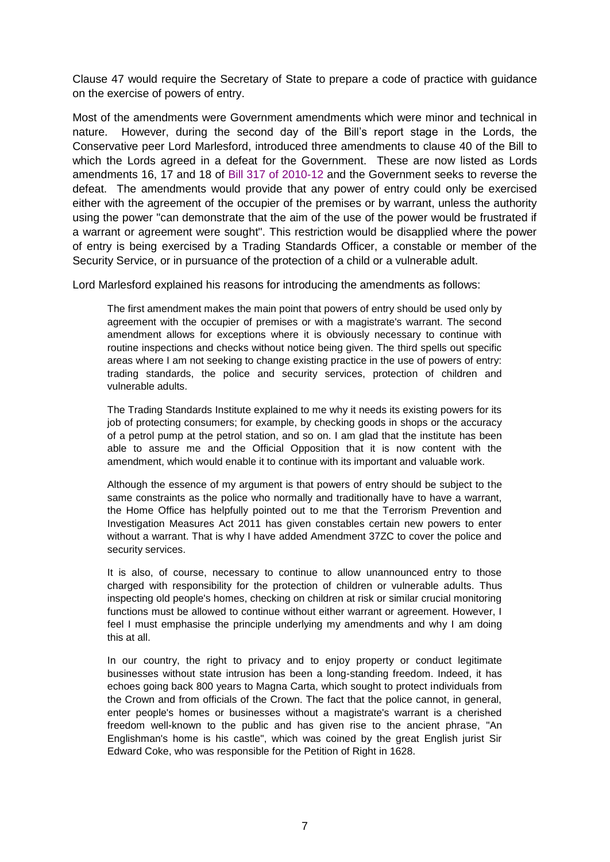Clause 47 would require the Secretary of State to prepare a code of practice with guidance on the exercise of powers of entry.

Most of the amendments were Government amendments which were minor and technical in nature. However, during the second day of the Bill's report stage in the Lords, the Conservative peer Lord Marlesford, introduced three amendments to clause 40 of the Bill to which the Lords agreed in a defeat for the Government. These are now listed as Lords amendments 16, 17 and 18 of [Bill 317 of 2010-12](http://www.publications.parliament.uk/pa/bills/cbill/2010-2012/0317/2012317.pdf) and the Government seeks to reverse the defeat. The amendments would provide that any power of entry could only be exercised either with the agreement of the occupier of the premises or by warrant, unless the authority using the power "can demonstrate that the aim of the use of the power would be frustrated if a warrant or agreement were sought". This restriction would be disapplied where the power of entry is being exercised by a Trading Standards Officer, a constable or member of the Security Service, or in pursuance of the protection of a child or a vulnerable adult.

Lord Marlesford explained his reasons for introducing the amendments as follows:

The first amendment makes the main point that powers of entry should be used only by agreement with the occupier of premises or with a magistrate's warrant. The second amendment allows for exceptions where it is obviously necessary to continue with routine inspections and checks without notice being given. The third spells out specific areas where I am not seeking to change existing practice in the use of powers of entry: trading standards, the police and security services, protection of children and vulnerable adults.

The Trading Standards Institute explained to me why it needs its existing powers for its job of protecting consumers; for example, by checking goods in shops or the accuracy of a petrol pump at the petrol station, and so on. I am glad that the institute has been able to assure me and the Official Opposition that it is now content with the amendment, which would enable it to continue with its important and valuable work.

Although the essence of my argument is that powers of entry should be subject to the same constraints as the police who normally and traditionally have to have a warrant, the Home Office has helpfully pointed out to me that the Terrorism Prevention and Investigation Measures Act 2011 has given constables certain new powers to enter without a warrant. That is why I have added Amendment 37ZC to cover the police and security services.

It is also, of course, necessary to continue to allow unannounced entry to those charged with responsibility for the protection of children or vulnerable adults. Thus inspecting old people's homes, checking on children at risk or similar crucial monitoring functions must be allowed to continue without either warrant or agreement. However, I feel I must emphasise the principle underlying my amendments and why I am doing this at all.

In our country, the right to privacy and to enjoy property or conduct legitimate businesses without state intrusion has been a long-standing freedom. Indeed, it has echoes going back 800 years to Magna Carta, which sought to protect individuals from the Crown and from officials of the Crown. The fact that the police cannot, in general, enter people's homes or businesses without a magistrate's warrant is a cherished freedom well-known to the public and has given rise to the ancient phrase, "An Englishman's home is his castle", which was coined by the great English jurist Sir Edward Coke, who was responsible for the Petition of Right in 1628.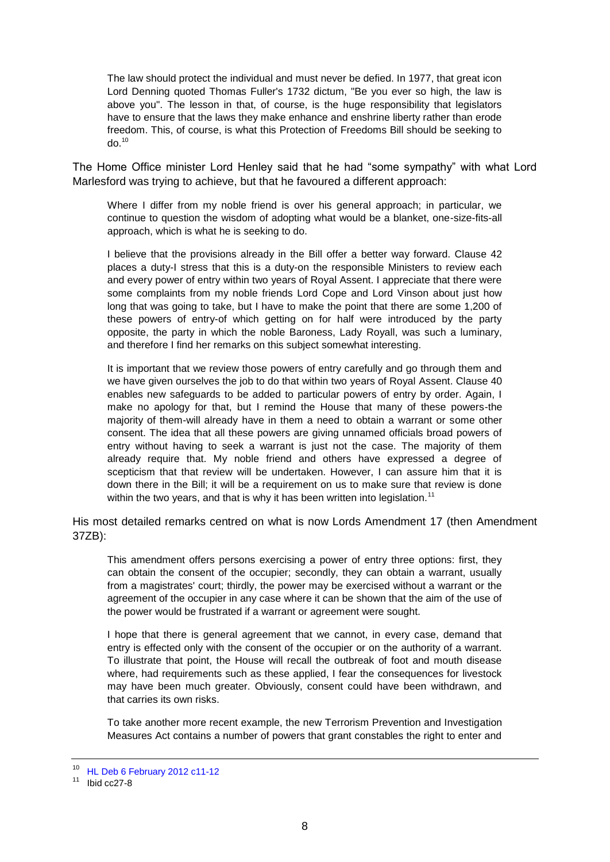The law should protect the individual and must never be defied. In 1977, that great icon Lord Denning quoted Thomas Fuller's 1732 dictum, "Be you ever so high, the law is above you". The lesson in that, of course, is the huge responsibility that legislators have to ensure that the laws they make enhance and enshrine liberty rather than erode freedom. This, of course, is what this Protection of Freedoms Bill should be seeking to  $d^2$ <sup>10</sup>

The Home Office minister Lord Henley said that he had "some sympathy" with what Lord Marlesford was trying to achieve, but that he favoured a different approach:

Where I differ from my noble friend is over his general approach; in particular, we continue to question the wisdom of adopting what would be a blanket, one-size-fits-all approach, which is what he is seeking to do.

I believe that the provisions already in the Bill offer a better way forward. Clause 42 places a duty-I stress that this is a duty-on the responsible Ministers to review each and every power of entry within two years of Royal Assent. I appreciate that there were some complaints from my noble friends Lord Cope and Lord Vinson about just how long that was going to take, but I have to make the point that there are some 1,200 of these powers of entry-of which getting on for half were introduced by the party opposite, the party in which the noble Baroness, Lady Royall, was such a luminary, and therefore I find her remarks on this subject somewhat interesting.

It is important that we review those powers of entry carefully and go through them and we have given ourselves the job to do that within two years of Royal Assent. Clause 40 enables new safeguards to be added to particular powers of entry by order. Again, I make no apology for that, but I remind the House that many of these powers-the majority of them-will already have in them a need to obtain a warrant or some other consent. The idea that all these powers are giving unnamed officials broad powers of entry without having to seek a warrant is just not the case. The majority of them already require that. My noble friend and others have expressed a degree of scepticism that that review will be undertaken. However, I can assure him that it is down there in the Bill; it will be a requirement on us to make sure that review is done within the two years, and that is why it has been written into legislation.<sup>11</sup>

His most detailed remarks centred on what is now Lords Amendment 17 (then Amendment 37ZB):

This amendment offers persons exercising a power of entry three options: first, they can obtain the consent of the occupier; secondly, they can obtain a warrant, usually from a magistrates' court; thirdly, the power may be exercised without a warrant or the agreement of the occupier in any case where it can be shown that the aim of the use of the power would be frustrated if a warrant or agreement were sought.

I hope that there is general agreement that we cannot, in every case, demand that entry is effected only with the consent of the occupier or on the authority of a warrant. To illustrate that point, the House will recall the outbreak of foot and mouth disease where, had requirements such as these applied, I fear the consequences for livestock may have been much greater. Obviously, consent could have been withdrawn, and that carries its own risks.

To take another more recent example, the new Terrorism Prevention and Investigation Measures Act contains a number of powers that grant constables the right to enter and

<sup>10</sup> [HL Deb 6 February 2012 c11-12](http://www.publications.parliament.uk/pa/ld201212/ldhansrd/text/120206-0001.htm)

 $11$  Ibid cc27-8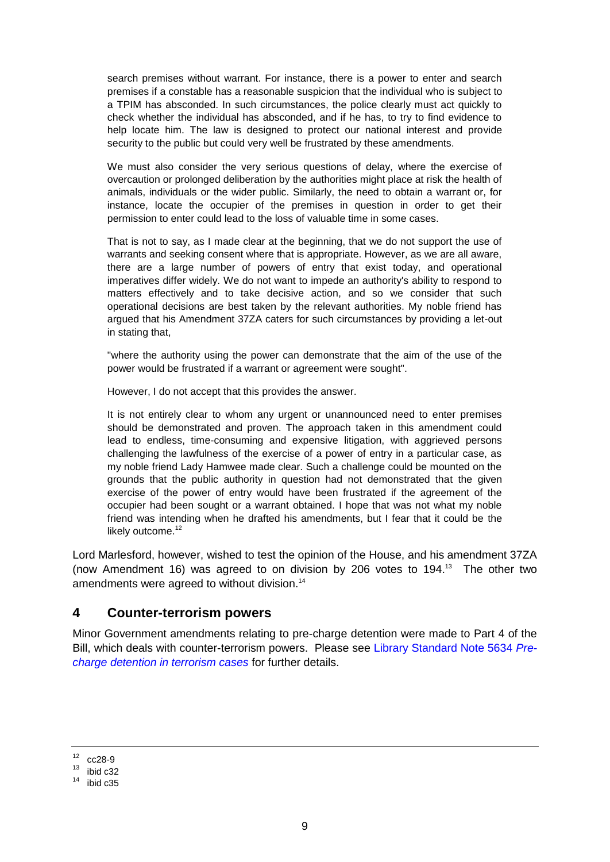search premises without warrant. For instance, there is a power to enter and search premises if a constable has a reasonable suspicion that the individual who is subject to a TPIM has absconded. In such circumstances, the police clearly must act quickly to check whether the individual has absconded, and if he has, to try to find evidence to help locate him. The law is designed to protect our national interest and provide security to the public but could very well be frustrated by these amendments.

We must also consider the very serious questions of delay, where the exercise of overcaution or prolonged deliberation by the authorities might place at risk the health of animals, individuals or the wider public. Similarly, the need to obtain a warrant or, for instance, locate the occupier of the premises in question in order to get their permission to enter could lead to the loss of valuable time in some cases.

That is not to say, as I made clear at the beginning, that we do not support the use of warrants and seeking consent where that is appropriate. However, as we are all aware, there are a large number of powers of entry that exist today, and operational imperatives differ widely. We do not want to impede an authority's ability to respond to matters effectively and to take decisive action, and so we consider that such operational decisions are best taken by the relevant authorities. My noble friend has argued that his Amendment 37ZA caters for such circumstances by providing a let-out in stating that,

"where the authority using the power can demonstrate that the aim of the use of the power would be frustrated if a warrant or agreement were sought".

However, I do not accept that this provides the answer.

It is not entirely clear to whom any urgent or unannounced need to enter premises should be demonstrated and proven. The approach taken in this amendment could lead to endless, time-consuming and expensive litigation, with aggrieved persons challenging the lawfulness of the exercise of a power of entry in a particular case, as my noble friend Lady Hamwee made clear. Such a challenge could be mounted on the grounds that the public authority in question had not demonstrated that the given exercise of the power of entry would have been frustrated if the agreement of the occupier had been sought or a warrant obtained. I hope that was not what my noble friend was intending when he drafted his amendments, but I fear that it could be the likely outcome.<sup>12</sup>

Lord Marlesford, however, wished to test the opinion of the House, and his amendment 37ZA (now Amendment 16) was agreed to on division by 206 votes to 194.<sup>13</sup> The other two amendments were agreed to without division.<sup>14</sup>

#### <span id="page-8-0"></span>**4 Counter-terrorism powers**

Minor Government amendments relating to pre-charge detention were made to Part 4 of the Bill, which deals with counter-terrorism powers. Please see [Library Standard Note 5634](http://intranet.parliament.uk/briefing-papers/SN05634) *Pre[charge detention in terrorism cases](http://intranet.parliament.uk/briefing-papers/SN05634)* for further details.

 $12 \quad \text{cc}$ 28-9

 $13$  ibid c32

 $14$  ibid c35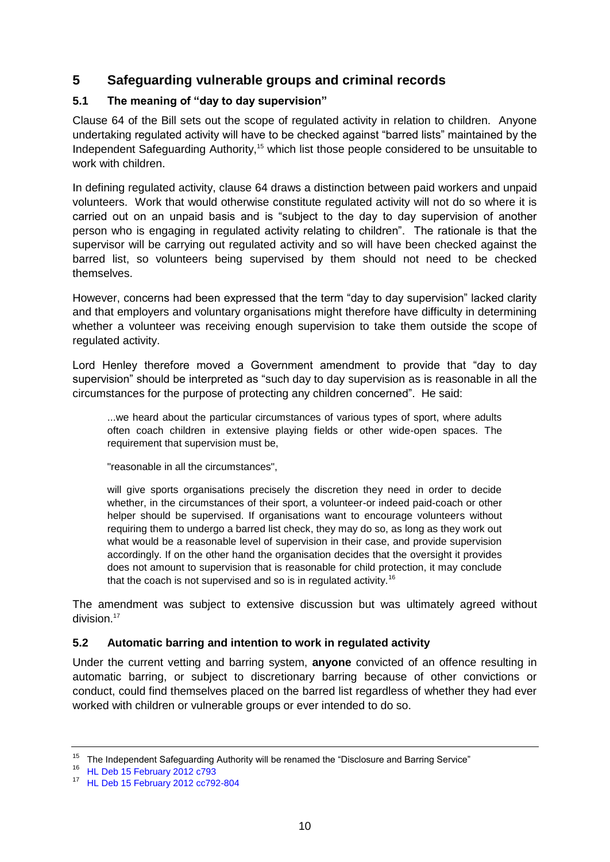# <span id="page-9-0"></span>**5 Safeguarding vulnerable groups and criminal records**

### <span id="page-9-1"></span>**5.1 The meaning of "day to day supervision"**

Clause 64 of the Bill sets out the scope of regulated activity in relation to children. Anyone undertaking regulated activity will have to be checked against "barred lists" maintained by the Independent Safeguarding Authority,<sup>15</sup> which list those people considered to be unsuitable to work with children.

In defining regulated activity, clause 64 draws a distinction between paid workers and unpaid volunteers. Work that would otherwise constitute regulated activity will not do so where it is carried out on an unpaid basis and is "subject to the day to day supervision of another person who is engaging in regulated activity relating to children". The rationale is that the supervisor will be carrying out regulated activity and so will have been checked against the barred list, so volunteers being supervised by them should not need to be checked themselves.

However, concerns had been expressed that the term "day to day supervision" lacked clarity and that employers and voluntary organisations might therefore have difficulty in determining whether a volunteer was receiving enough supervision to take them outside the scope of regulated activity.

Lord Henley therefore moved a Government amendment to provide that "day to day supervision" should be interpreted as "such day to day supervision as is reasonable in all the circumstances for the purpose of protecting any children concerned". He said:

...we heard about the particular circumstances of various types of sport, where adults often coach children in extensive playing fields or other wide-open spaces. The requirement that supervision must be,

"reasonable in all the circumstances",

will give sports organisations precisely the discretion they need in order to decide whether, in the circumstances of their sport, a volunteer-or indeed paid-coach or other helper should be supervised. If organisations want to encourage volunteers without requiring them to undergo a barred list check, they may do so, as long as they work out what would be a reasonable level of supervision in their case, and provide supervision accordingly. If on the other hand the organisation decides that the oversight it provides does not amount to supervision that is reasonable for child protection, it may conclude that the coach is not supervised and so is in regulated activity.<sup>16</sup>

The amendment was subject to extensive discussion but was ultimately agreed without division.<sup>17</sup>

#### <span id="page-9-2"></span>**5.2 Automatic barring and intention to work in regulated activity**

Under the current vetting and barring system, **anyone** convicted of an offence resulting in automatic barring, or subject to discretionary barring because of other convictions or conduct, could find themselves placed on the barred list regardless of whether they had ever worked with children or vulnerable groups or ever intended to do so.

<sup>&</sup>lt;sup>15</sup> The Independent Safeguarding Authority will be renamed the "Disclosure and Barring Service"

<sup>16</sup> [HL Deb 15 February 2012 c793](http://www.publications.parliament.uk/pa/ld201212/ldhansrd/text/120215-0001.htm#12021564000299)

<sup>17</sup> [HL Deb 15 February 2012 cc792-804](http://www.publications.parliament.uk/pa/ld201212/ldhansrd/text/120215-0001.htm#12021564000333)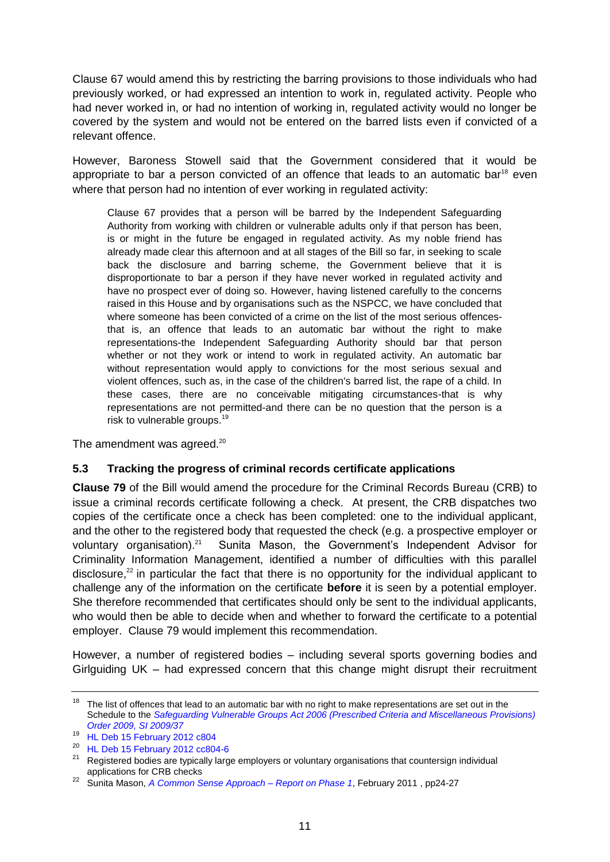Clause 67 would amend this by restricting the barring provisions to those individuals who had previously worked, or had expressed an intention to work in, regulated activity. People who had never worked in, or had no intention of working in, regulated activity would no longer be covered by the system and would not be entered on the barred lists even if convicted of a relevant offence.

However, Baroness Stowell said that the Government considered that it would be appropriate to bar a person convicted of an offence that leads to an automatic bar<sup>18</sup> even where that person had no intention of ever working in regulated activity:

Clause 67 provides that a person will be barred by the Independent Safeguarding Authority from working with children or vulnerable adults only if that person has been, is or might in the future be engaged in regulated activity. As my noble friend has already made clear this afternoon and at all stages of the Bill so far, in seeking to scale back the disclosure and barring scheme, the Government believe that it is disproportionate to bar a person if they have never worked in regulated activity and have no prospect ever of doing so. However, having listened carefully to the concerns raised in this House and by organisations such as the NSPCC, we have concluded that where someone has been convicted of a crime on the list of the most serious offencesthat is, an offence that leads to an automatic bar without the right to make representations-the Independent Safeguarding Authority should bar that person whether or not they work or intend to work in regulated activity. An automatic bar without representation would apply to convictions for the most serious sexual and violent offences, such as, in the case of the children's barred list, the rape of a child. In these cases, there are no conceivable mitigating circumstances-that is why representations are not permitted-and there can be no question that the person is a risk to vulnerable groups.<sup>19</sup>

The amendment was agreed.<sup>20</sup>

#### <span id="page-10-0"></span>**5.3 Tracking the progress of criminal records certificate applications**

**Clause 79** of the Bill would amend the procedure for the Criminal Records Bureau (CRB) to issue a criminal records certificate following a check. At present, the CRB dispatches two copies of the certificate once a check has been completed: one to the individual applicant, and the other to the registered body that requested the check (e.g. a prospective employer or voluntary organisation).<sup>21</sup> Sunita Mason, the Government's Independent Advisor for Criminality Information Management, identified a number of difficulties with this parallel disclosure, $^{22}$  in particular the fact that there is no opportunity for the individual applicant to challenge any of the information on the certificate **before** it is seen by a potential employer. She therefore recommended that certificates should only be sent to the individual applicants, who would then be able to decide when and whether to forward the certificate to a potential employer. Clause 79 would implement this recommendation.

However, a number of registered bodies – including several sports governing bodies and Girlguiding UK – had expressed concern that this change might disrupt their recruitment

 $18$  The list of offences that lead to an automatic bar with no right to make representations are set out in the Schedule to the *[Safeguarding Vulnerable Groups Act 2006 \(Prescribed Criteria and Miscellaneous Provisions\)](http://www.legislation.gov.uk/uksi/2009/37/schedule/made)  [Order 2009, SI 2009/37](http://www.legislation.gov.uk/uksi/2009/37/schedule/made)*

<sup>19</sup> [HL Deb 15 February 2012 c804](http://www.publications.parliament.uk/pa/ld201212/ldhansrd/text/120215-0001.htm#12021564000334)

<sup>20</sup> [HL Deb 15 February 2012 cc804-6](http://www.publications.parliament.uk/pa/ld201212/ldhansrd/text/120215-0001.htm#12021564000334)

<sup>&</sup>lt;sup>21</sup> Registered bodies are typically large employers or voluntary organisations that countersign individual applications for CRB checks

<sup>22</sup> Sunita Mason, *[A Common Sense Approach –](http://www.homeoffice.gov.uk/publications/crime/criminal-records-review-phase1/common-sense-approach?view=Binary) Report on Phase 1*, February 2011 , pp24-27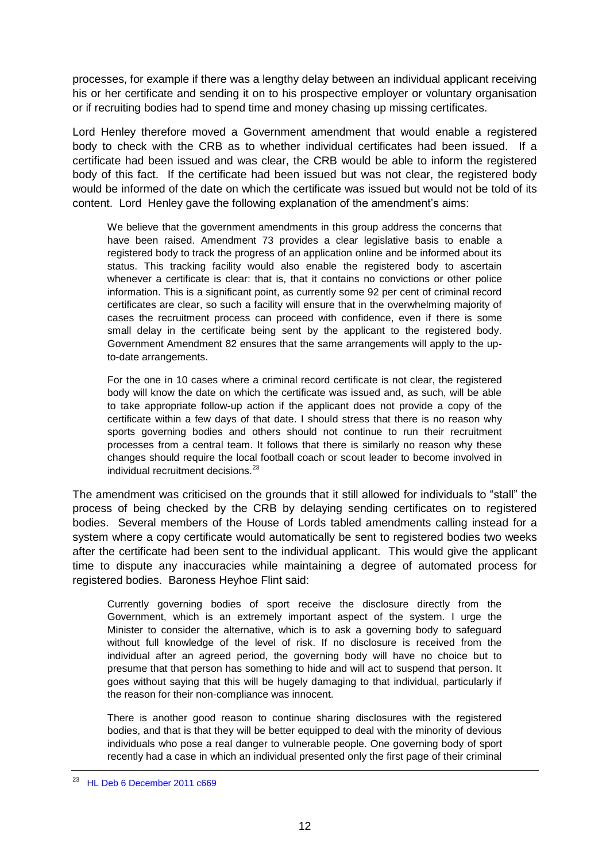processes, for example if there was a lengthy delay between an individual applicant receiving his or her certificate and sending it on to his prospective employer or voluntary organisation or if recruiting bodies had to spend time and money chasing up missing certificates.

Lord Henley therefore moved a Government amendment that would enable a registered body to check with the CRB as to whether individual certificates had been issued. If a certificate had been issued and was clear, the CRB would be able to inform the registered body of this fact. If the certificate had been issued but was not clear, the registered body would be informed of the date on which the certificate was issued but would not be told of its content. Lord Henley gave the following explanation of the amendment's aims:

We believe that the government amendments in this group address the concerns that have been raised. Amendment 73 provides a clear legislative basis to enable a registered body to track the progress of an application online and be informed about its status. This tracking facility would also enable the registered body to ascertain whenever a certificate is clear: that is, that it contains no convictions or other police information. This is a significant point, as currently some 92 per cent of criminal record certificates are clear, so such a facility will ensure that in the overwhelming majority of cases the recruitment process can proceed with confidence, even if there is some small delay in the certificate being sent by the applicant to the registered body. Government Amendment 82 ensures that the same arrangements will apply to the upto-date arrangements.

For the one in 10 cases where a criminal record certificate is not clear, the registered body will know the date on which the certificate was issued and, as such, will be able to take appropriate follow-up action if the applicant does not provide a copy of the certificate within a few days of that date. I should stress that there is no reason why sports governing bodies and others should not continue to run their recruitment processes from a central team. It follows that there is similarly no reason why these changes should require the local football coach or scout leader to become involved in individual recruitment decisions.<sup>23</sup>

The amendment was criticised on the grounds that it still allowed for individuals to "stall" the process of being checked by the CRB by delaying sending certificates on to registered bodies. Several members of the House of Lords tabled amendments calling instead for a system where a copy certificate would automatically be sent to registered bodies two weeks after the certificate had been sent to the individual applicant. This would give the applicant time to dispute any inaccuracies while maintaining a degree of automated process for registered bodies. Baroness Heyhoe Flint said:

Currently governing bodies of sport receive the disclosure directly from the Government, which is an extremely important aspect of the system. I urge the Minister to consider the alternative, which is to ask a governing body to safeguard without full knowledge of the level of risk. If no disclosure is received from the individual after an agreed period, the governing body will have no choice but to presume that that person has something to hide and will act to suspend that person. It goes without saying that this will be hugely damaging to that individual, particularly if the reason for their non-compliance was innocent.

There is another good reason to continue sharing disclosures with the registered bodies, and that is that they will be better equipped to deal with the minority of devious individuals who pose a real danger to vulnerable people. One governing body of sport recently had a case in which an individual presented only the first page of their criminal

<sup>23</sup> [HL Deb 6 December 2011 c669](http://www.publications.parliament.uk/pa/ld201011/ldhansrd/text/111206-0002.htm#11120660000066)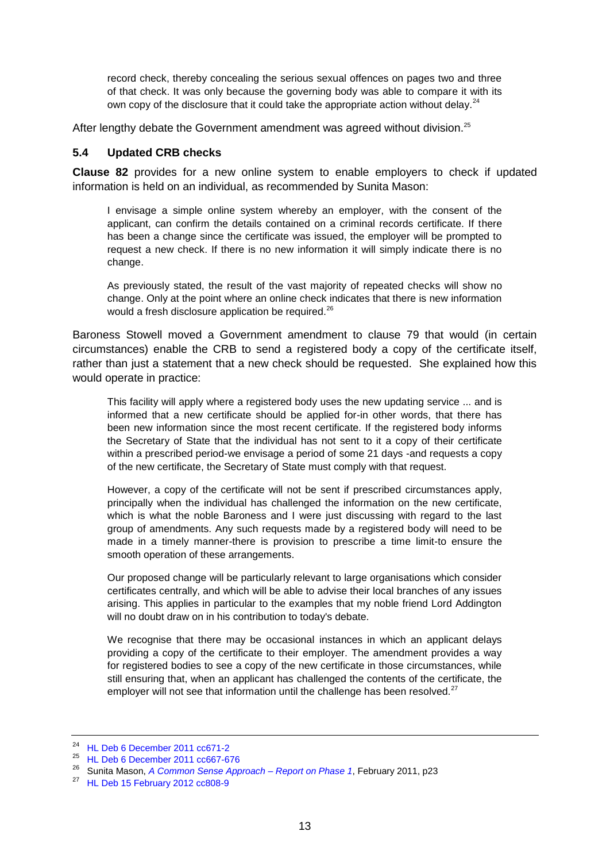record check, thereby concealing the serious sexual offences on pages two and three of that check. It was only because the governing body was able to compare it with its own copy of the disclosure that it could take the appropriate action without delay.<sup>24</sup>

After lengthy debate the Government amendment was agreed without division.<sup>25</sup>

#### <span id="page-12-0"></span>**5.4 Updated CRB checks**

**Clause 82** provides for a new online system to enable employers to check if updated information is held on an individual, as recommended by Sunita Mason:

I envisage a simple online system whereby an employer, with the consent of the applicant, can confirm the details contained on a criminal records certificate. If there has been a change since the certificate was issued, the employer will be prompted to request a new check. If there is no new information it will simply indicate there is no change.

As previously stated, the result of the vast majority of repeated checks will show no change. Only at the point where an online check indicates that there is new information would a fresh disclosure application be required.<sup>26</sup>

Baroness Stowell moved a Government amendment to clause 79 that would (in certain circumstances) enable the CRB to send a registered body a copy of the certificate itself, rather than just a statement that a new check should be requested. She explained how this would operate in practice:

This facility will apply where a registered body uses the new updating service ... and is informed that a new certificate should be applied for-in other words, that there has been new information since the most recent certificate. If the registered body informs the Secretary of State that the individual has not sent to it a copy of their certificate within a prescribed period-we envisage a period of some 21 days -and requests a copy of the new certificate, the Secretary of State must comply with that request.

However, a copy of the certificate will not be sent if prescribed circumstances apply, principally when the individual has challenged the information on the new certificate, which is what the noble Baroness and I were just discussing with regard to the last group of amendments. Any such requests made by a registered body will need to be made in a timely manner-there is provision to prescribe a time limit-to ensure the smooth operation of these arrangements.

Our proposed change will be particularly relevant to large organisations which consider certificates centrally, and which will be able to advise their local branches of any issues arising. This applies in particular to the examples that my noble friend Lord Addington will no doubt draw on in his contribution to today's debate.

We recognise that there may be occasional instances in which an applicant delays providing a copy of the certificate to their employer. The amendment provides a way for registered bodies to see a copy of the new certificate in those circumstances, while still ensuring that, when an applicant has challenged the contents of the certificate, the employer will not see that information until the challenge has been resolved. $27$ 

<sup>24</sup> [HL Deb 6 December 2011 cc671-2](http://www.publications.parliament.uk/pa/ld201011/ldhansrd/text/111206-0002.htm#11120660000068)

 $^{25}$  [HL Deb 6 December 2011 cc667-676](http://www.publications.parliament.uk/pa/ld201011/ldhansrd/text/111206-0002.htm#11120660000082)

<sup>26</sup> Sunita Mason, *[A Common Sense Approach –](http://www.homeoffice.gov.uk/publications/crime/criminal-records-review-phase1/common-sense-approach?view=Binary) Report on Phase 1*, February 2011, p23

 $27$  [HL Deb 15 February 2012 cc808-9](http://www.publications.parliament.uk/pa/ld201212/ldhansrd/text/120215-0001.htm#12021564000337)